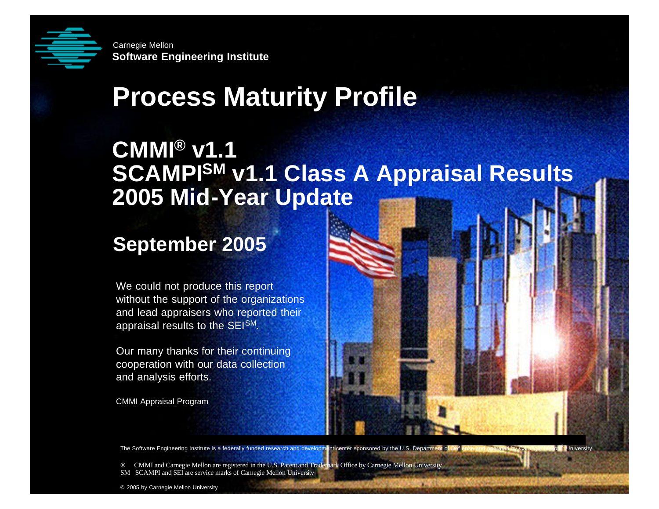

**Solution**<br> **Software Engineering Institute**<br> **Software Institute Software Engineering Institute** Carnegie Mellon

# **Process Maturity Profile**

#### **CMMI® v1.1 SCAMPISM v1.1 Class A Appraisal Results 2005 Mid-Year Update**

#### **September 2005**

We could not produce this report without the support of the organizations and lead appraisers who reported their appraisal results to the SEISM.

Our many thanks for their continuing cooperation with our data collection and analysis efforts.

CMMI Appraisal Program

The Software Engineering Institute is a federally funded research and development center sponsored by the U.S. Department of Def ense and operated by Carnegie Mellon® University

® CMMI and Carnegie Mellon are registered in the U.S. Patent and Trademark Office by Carnegie Mellon University SM SCAMPI and SEI are service marks of Carnegie Mellon University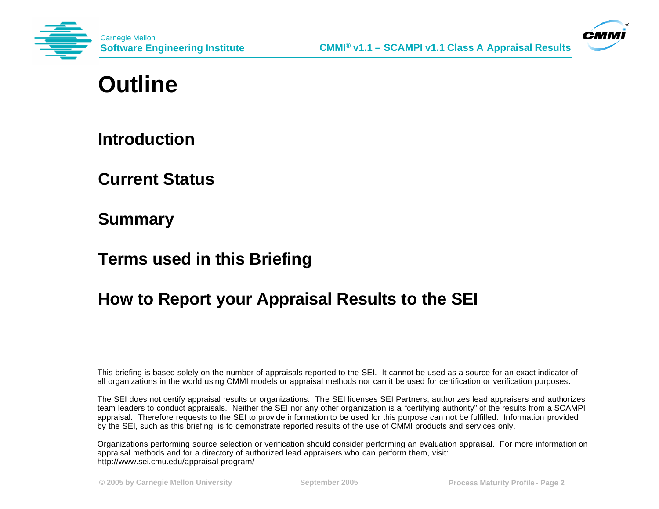



#### **Outline**

**Introduction**

**Current Status**

**Summary**

**Terms used in this Briefing**

#### **How to Report your Appraisal Results to the SEI**

This briefing is based solely on the number of appraisals reported to the SEI. It cannot be used as a source for an exact indicator of all organizations in the world using CMMI models or appraisal methods nor can it be used for certification or verification purposes**.**

The SEI does not certify appraisal results or organizations. The SEI licenses SEI Partners, authorizes lead appraisers and authorizes team leaders to conduct appraisals. Neither the SEI nor any other organization is a "certifying authority" of the results from a SCAMPI appraisal. Therefore requests to the SEI to provide information to be used for this purpose can not be fulfilled. Information provided by the SEI, such as this briefing, is to demonstrate reported results of the use of CMMI products and services only.

Organizations performing source selection or verification should consider performing an evaluation appraisal. For more information on appraisal methods and for a directory of authorized lead appraisers who can perform them, visit: http://www.sei.cmu.edu/appraisal-program/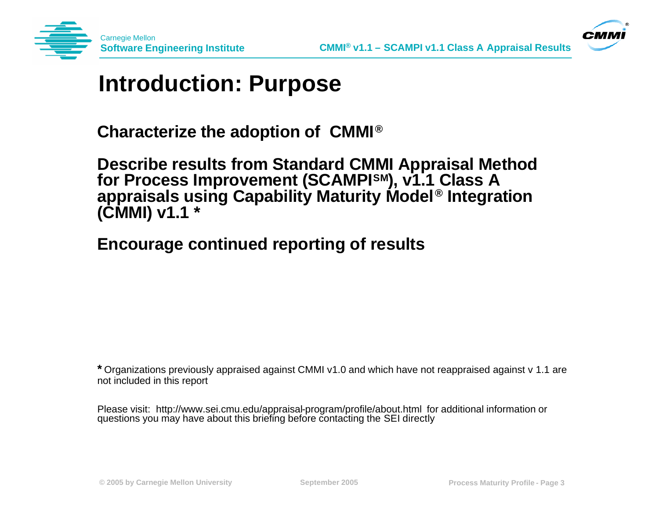



#### **Introduction: Purpose**

**Characterize the adoption of CMMI® ®**

**Describe results from Standard CMMI Appraisal Method for Process Improvement (SCAMPISM), v1.1 Class A appraisals using Capability Maturity Model® Integration (CMMI) v1.1 \***

**Encourage continued reporting of results**

**\*** Organizations previously appraised against CMMI v1.0 and which have not reappraised against v 1.1 are not included in this report

Please visit: http://www.sei.cmu.edu/appraisal-program/profile/about.html for additional information or questions you may have about this briefing before contacting the SEI directly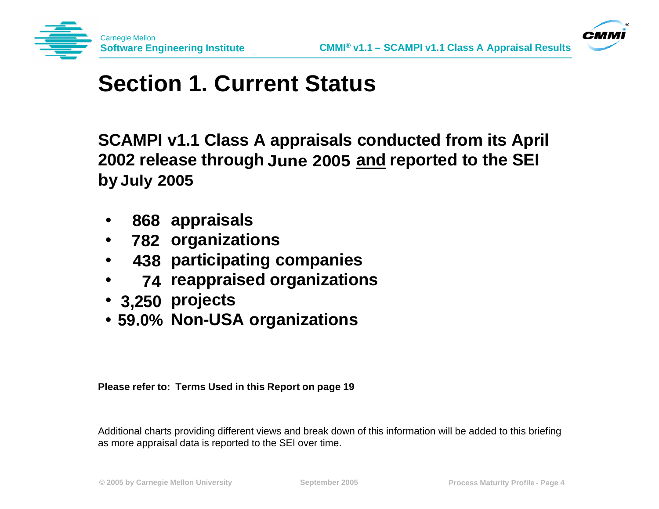



#### **Section 1. Current Status**

**SCAMPI v1.1 Class A appraisals conducted from its April**  2002 release through June 2005 <u>and</u> reported to the SEI **by July 2005**

- **•** 868 appraisals
- **organizations 782**
- **438 participating companies**
- **reappraised organizations 74**
- **projects 3,250**
- **Non-USA organizations 59.0%**

#### **Please refer to: Terms Used in this Report on page 19**

Additional charts providing different views and break down of this information will be added to this briefing as more appraisal data is reported to the SEI over time.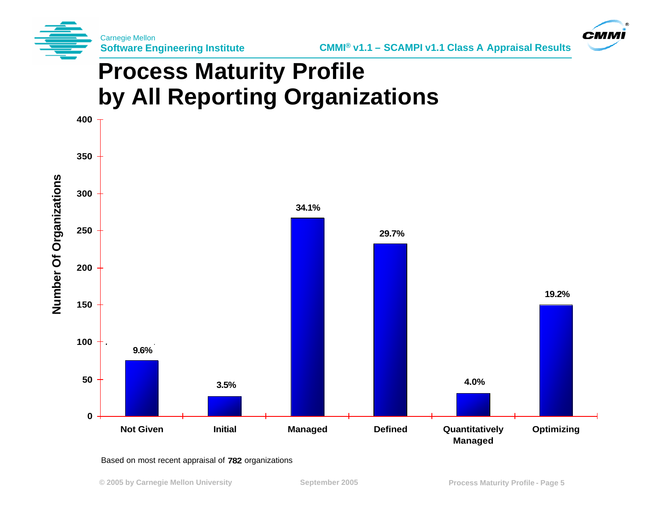



## **Process Maturity Profile by All Reporting Organizations**



#### Based on most recent appraisal of 782 organizations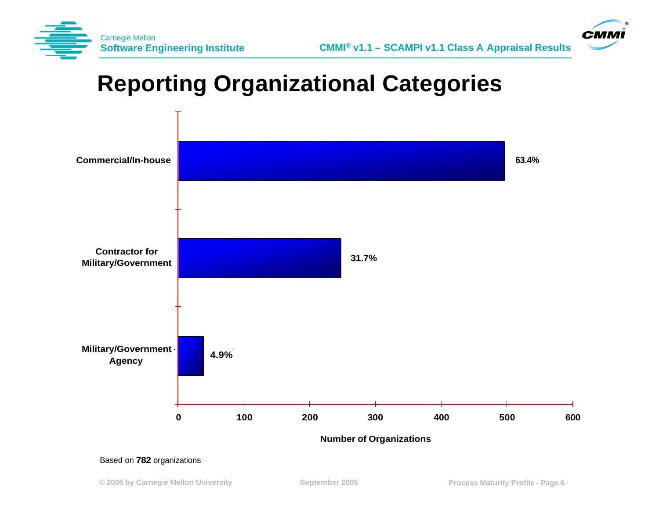



## **Reporting Organizational Categories**



Based on 782 organizations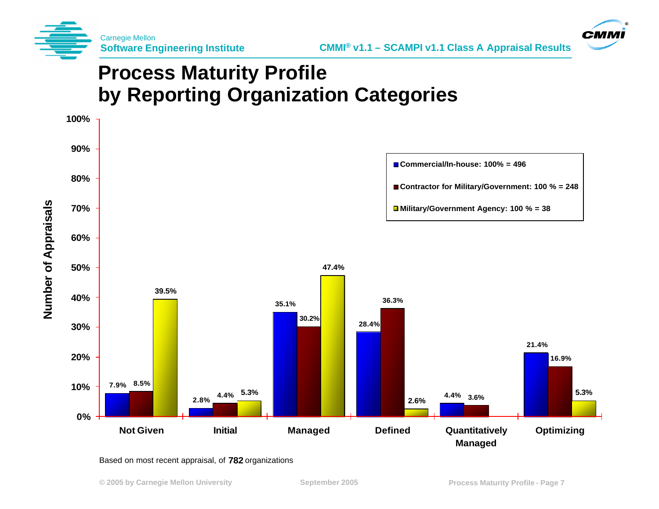



#### **Process Maturity Profile by Reporting Organization Categories**



Based on most recent appraisal, of 782 organizations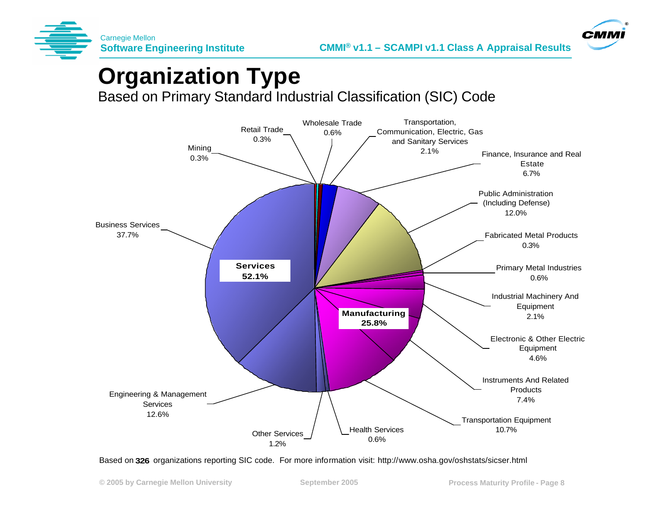



### **Organization Type**

Based on Primary Standard Industrial Classification (SIC) Code



Based on 326 organizations reporting SIC code. For more information visit: http://www.osha.gov/oshstats/sicser.html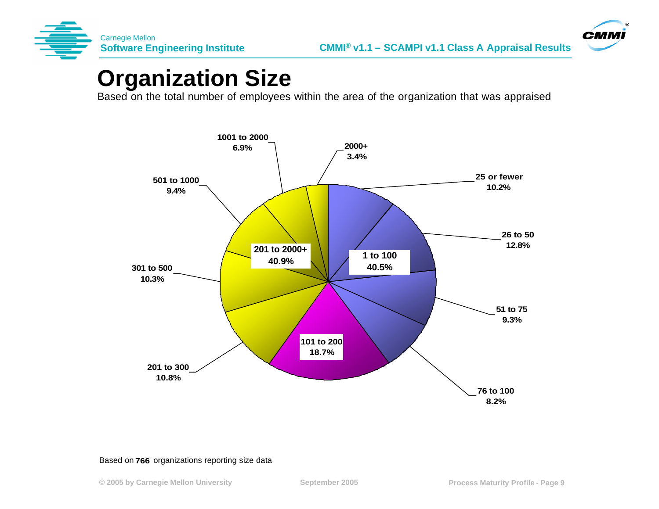



#### **Organization Size**

Based on the total number of employees within the area of the organization that was appraised



#### Based on 766 organizations reporting size data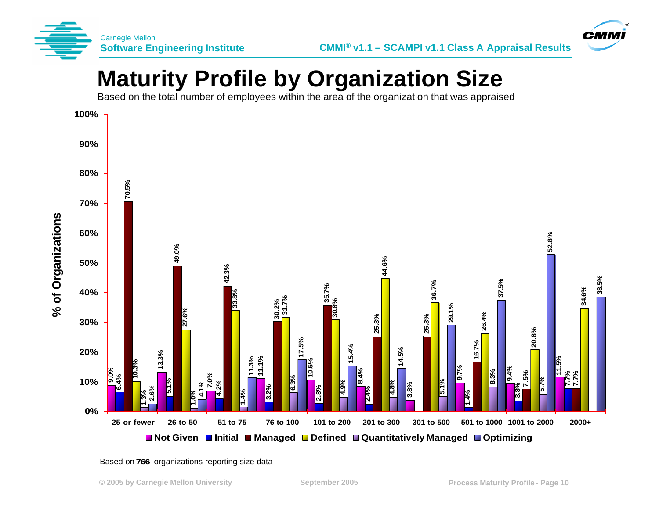



### **Maturity Profile by Organization Size**

Based on the total number of employees within the area of the organization that was appraised



Based on 766 organizations reporting size data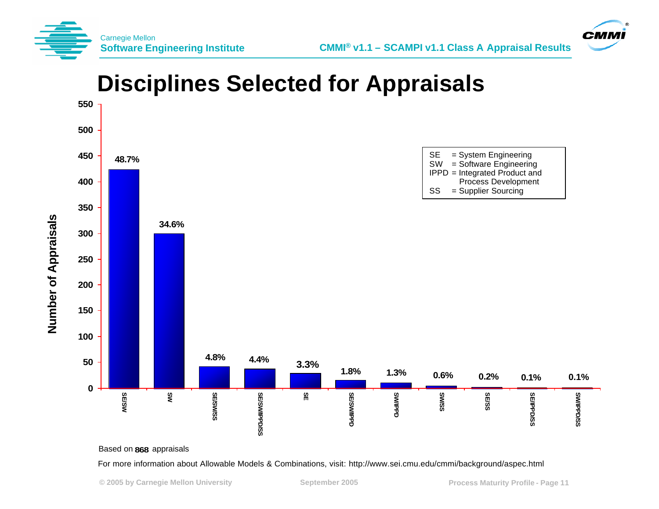



#### **Disciplines Selected for Appraisals 550 500 450** SE = System Engineering **48.7%** SW = Software Engineering IPPD = Integrated Product and **400** Process Development **46.5%** SS = Supplier Sourcing **350 Number of Appraisals Number of Appraisals 34.6% 300 250 200 150 100 4.8% 4.4% 3.3% 50 1.8% 1.3% 0.6% 0.2% 0.1% 0.1%0 SE/SW SE/SS SW SE/SW/SS SES/QHAMSES SE SE/SWIPPD CINVIPPD SW/SS SE/IPPD/SS** SS/Oddl/MS **SE/SW/SS SE/SW/IPPD/SS SE/SW/IPPD SW/IPPD SE/IPPD/SS SW/IPPD/SS**

**Based on 868 appraisals** 

#### For more information about Allowable Models & Combinations, visit: http://www.sei.cmu.edu/cmmi/background/aspec.html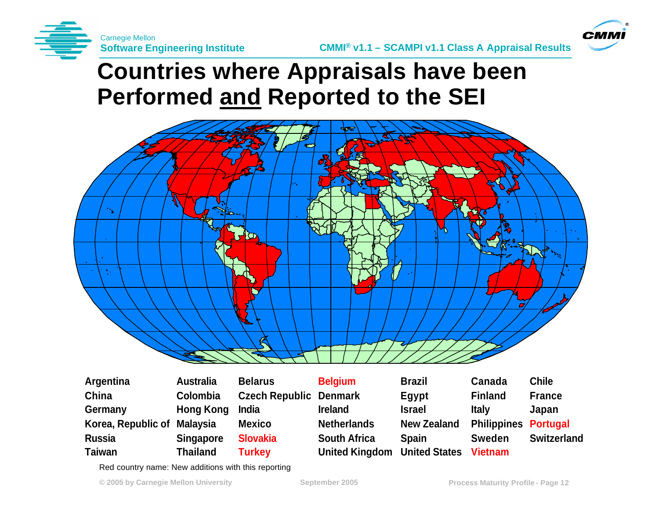



#### **Countries where Appraisals have been Performed and Reported to the SEI**



| <b>Argentina</b>            | <b>Australia</b> | <b>Belarus</b>                | <b>Belgium</b>                      | <b>Brazil</b>      | Canada                      | <b>Chile</b>       |
|-----------------------------|------------------|-------------------------------|-------------------------------------|--------------------|-----------------------------|--------------------|
| China                       | Colombia         | <b>Czech Republic Denmark</b> |                                     | Egypt              | <b>Finland</b>              | <b>France</b>      |
| Germany                     | <b>Hong Kong</b> | India                         | <b>Ireland</b>                      | <b>Israel</b>      | <b>Italy</b>                | Japan              |
| Korea, Republic of Malaysia |                  | <b>Mexico</b>                 | <b>Netherlands</b>                  | <b>New Zealand</b> | <b>Philippines Portugal</b> |                    |
| <b>Russia</b>               | <b>Singapore</b> | <b>Slovakia</b>               | <b>South Africa</b>                 | <b>Spain</b>       | <b>Sweden</b>               | <b>Switzerland</b> |
| Taiwan                      | Thailand         | <b>Turkey</b>                 | <b>United Kingdom</b> United States |                    | <b>Vietnam</b>              |                    |

Red country name: New additions with this reporting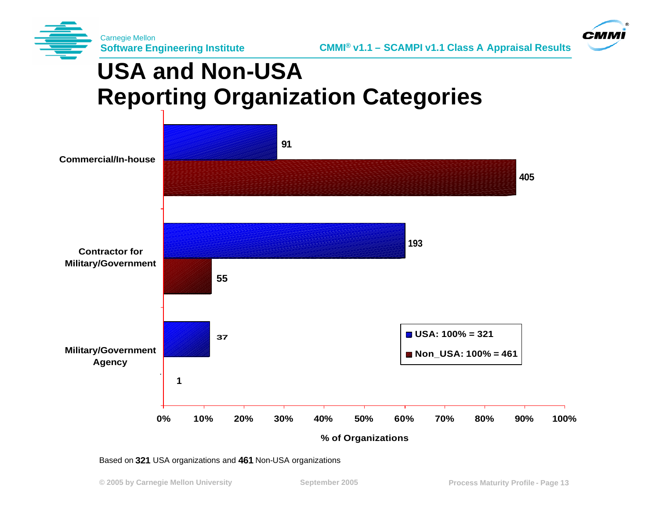



## **USA and Non-USA Reporting Organization Categories**



Based on 321 USA organizations and 461 Non-USA organizations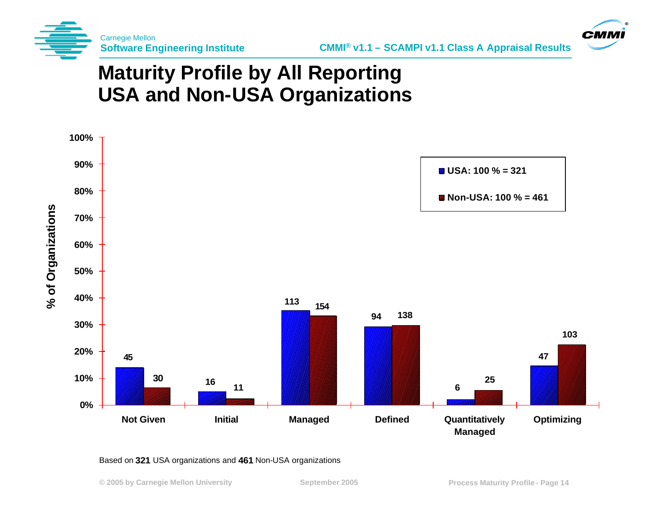



#### **Maturity Profile by All Reporting USA and Non-USA Organizations**



#### Based on 321 USA organizations and 461 Non-USA organizations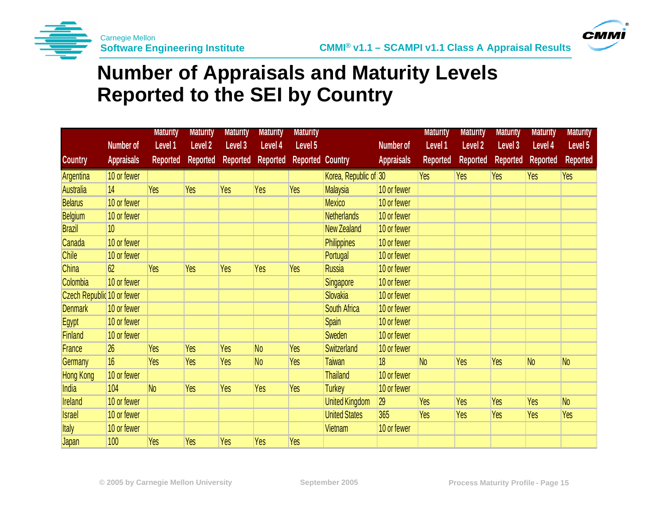



#### **Number of Appraisals and Maturity Levels Reported to the SEI by Country**

|                            |                   | <b>Maturity</b> | <b>Maturity</b>    | <b>Maturity</b> | <b>Maturity</b> | <b>Maturity</b>         |                       |                   | <b>Maturity</b> | <b>Maturity</b> | <b>Maturity</b> | <b>Maturity</b> | <b>Maturity</b> |
|----------------------------|-------------------|-----------------|--------------------|-----------------|-----------------|-------------------------|-----------------------|-------------------|-----------------|-----------------|-----------------|-----------------|-----------------|
|                            | <b>Number of</b>  | Level 1         | Level <sub>2</sub> | Level 3         | Level 4         | Level 5                 |                       | <b>Number of</b>  | Level 1         | Level 2         | Level 3         | Level 4         | Level 5         |
| <b>Country</b>             | <b>Appraisals</b> | <b>Reported</b> | <b>Reported</b>    | Reported        | Reported        | <b>Reported Country</b> |                       | <b>Appraisals</b> | <b>Reported</b> | <b>Reported</b> | <b>Reported</b> | <b>Reported</b> | <b>Reported</b> |
| Argentina                  | 10 or fewer       |                 |                    |                 |                 |                         | Korea, Republic of 30 |                   | <b>Yes</b>      | Yes             | Yes             | Yes             | Yes             |
| <b>Australia</b>           | 14                | Yes             | Yes                | Yes             | Yes             | <b>Yes</b>              | Malaysia              | 10 or fewer       |                 |                 |                 |                 |                 |
| <b>Belarus</b>             | 10 or fewer       |                 |                    |                 |                 |                         | <b>Mexico</b>         | 10 or fewer       |                 |                 |                 |                 |                 |
| <b>Belgium</b>             | 10 or fewer       |                 |                    |                 |                 |                         | <b>Netherlands</b>    | 10 or fewer       |                 |                 |                 |                 |                 |
| <b>Brazil</b>              | 10 <sup>°</sup>   |                 |                    |                 |                 |                         | <b>New Zealand</b>    | 10 or fewer       |                 |                 |                 |                 |                 |
| Canada                     | 10 or fewer       |                 |                    |                 |                 |                         | <b>Philippines</b>    | 10 or fewer       |                 |                 |                 |                 |                 |
| <b>Chile</b>               | 10 or fewer       |                 |                    |                 |                 |                         | Portugal              | 10 or fewer       |                 |                 |                 |                 |                 |
| <b>China</b>               | 62                | <b>Yes</b>      | Yes                | Yes             | Yes             | Yes                     | <b>Russia</b>         | 10 or fewer       |                 |                 |                 |                 |                 |
| Colombia                   | 10 or fewer       |                 |                    |                 |                 |                         | Singapore             | 10 or fewer       |                 |                 |                 |                 |                 |
| Czech Republic 10 or fewer |                   |                 |                    |                 |                 |                         | Slovakia              | 10 or fewer       |                 |                 |                 |                 |                 |
| <b>Denmark</b>             | 10 or fewer       |                 |                    |                 |                 |                         | South Africa          | 10 or fewer       |                 |                 |                 |                 |                 |
| Egypt                      | 10 or fewer       |                 |                    |                 |                 |                         | Spain                 | 10 or fewer       |                 |                 |                 |                 |                 |
| Finland                    | 10 or fewer       |                 |                    |                 |                 |                         | Sweden                | 10 or fewer       |                 |                 |                 |                 |                 |
| France                     | 26                | Yes             | Yes                | Yes             | N <sub>0</sub>  | Yes                     | <b>Switzerland</b>    | 10 or fewer       |                 |                 |                 |                 |                 |
| Germany                    | 16                | Yes             | Yes                | Yes             | N <sub>0</sub>  | Yes                     | <b>Taiwan</b>         | 18                | N <sub>o</sub>  | Yes             | Yes             | N <sub>o</sub>  | N <sub>o</sub>  |
| <b>Hong Kong</b>           | 10 or fewer       |                 |                    |                 |                 |                         | <b>Thailand</b>       | 10 or fewer       |                 |                 |                 |                 |                 |
| India                      | 104               | N <sub>o</sub>  | <b>Yes</b>         | Yes             | Yes             | Yes                     | <b>Turkey</b>         | 10 or fewer       |                 |                 |                 |                 |                 |
| <b>Ireland</b>             | 10 or fewer       |                 |                    |                 |                 |                         | <b>United Kingdom</b> | 29                | <b>Yes</b>      | Yes             | Yes             | Yes             | N <sub>0</sub>  |
| <b>Israel</b>              | 10 or fewer       |                 |                    |                 |                 |                         | <b>United States</b>  | 365               | Yes             | Yes             | Yes             | Yes             | <b>Yes</b>      |
| <b>Italy</b>               | 10 or fewer       |                 |                    |                 |                 |                         | Vietnam               | 10 or fewer       |                 |                 |                 |                 |                 |
| Japan                      | 100               | Yes             | Yes                | Yes             | Yes             | Yes                     |                       |                   |                 |                 |                 |                 |                 |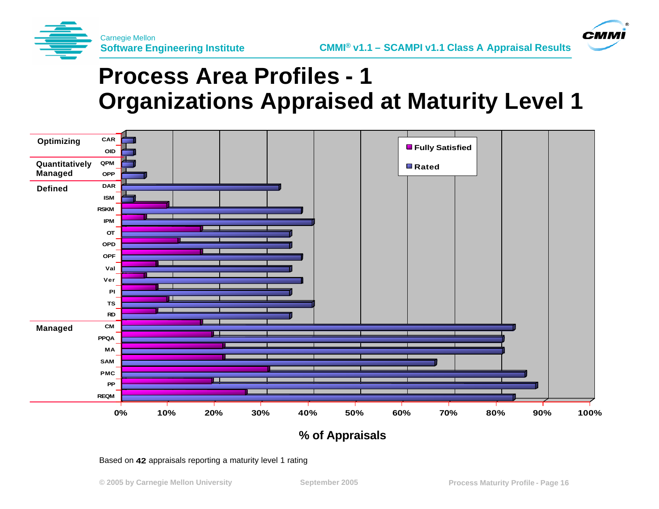

**CMM** 





**% of Appraisals**

Based on 42 appraisals reporting a maturity level 1 rating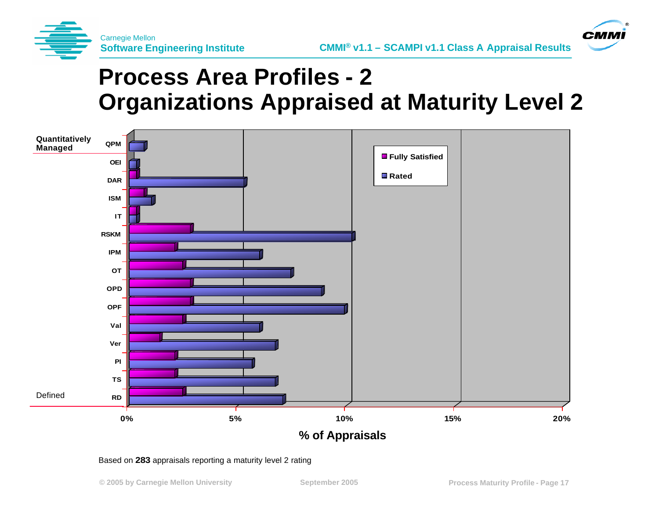

**CMM** 

### **Process Area Profiles - 2 Organizations Appraised at Maturity Level 2**



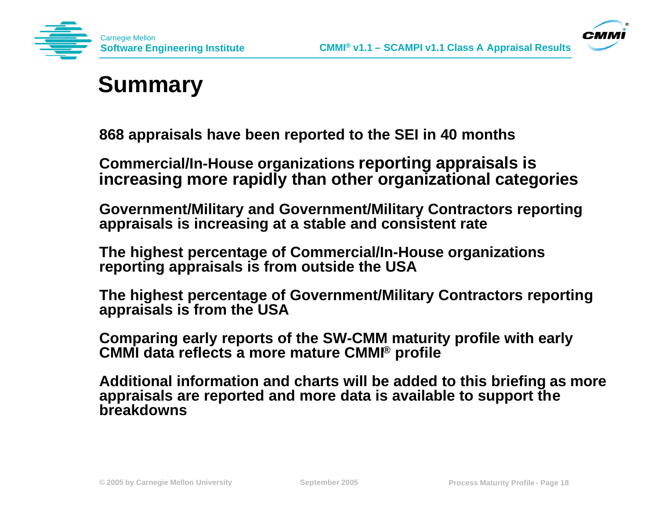



### **Summary**

**868 appraisals have been reported to the SEI in 40 months**

**Commercial/In-House organizations reporting appraisals is increasing more rapidly than other organizational categories**

**Government/Military and Government/Military Contractors reporting appraisals is increasing at a stable and consistent rate** 

**The highest percentage of Commercial/In-House organizations reporting appraisals is from outside the USA** 

**The highest percentage of Government/Military Contractors reporting appraisals is from the USA** 

**Comparing early reports of the SW-CMM maturity profile with early CMMI data reflects a more mature CMMI® profile**

**Additional information and charts will be added to this briefing as more appraisals are reported and more data is available to support the breakdowns**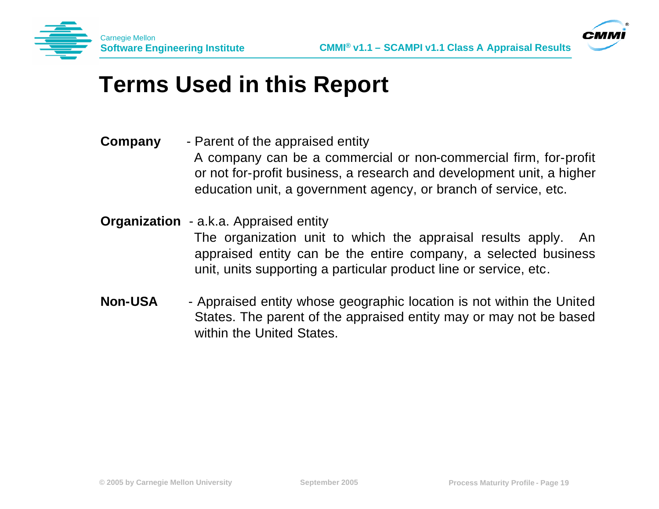



#### **Terms Used in this Report**

- **Company** Parent of the appraised entity A company can be a commercial or non-commercial firm, for-profit or not for-profit business, a research and development unit, a higher education unit, a government agency, or branch of service, etc.
- **Organization** a.k.a. Appraised entity

The organization unit to which the appraisal results apply. An appraised entity can be the entire company, a selected business unit, units supporting a particular product line or service, etc.

**Non-USA** - Appraised entity whose geographic location is not within the United States. The parent of the appraised entity may or may not be based within the United States.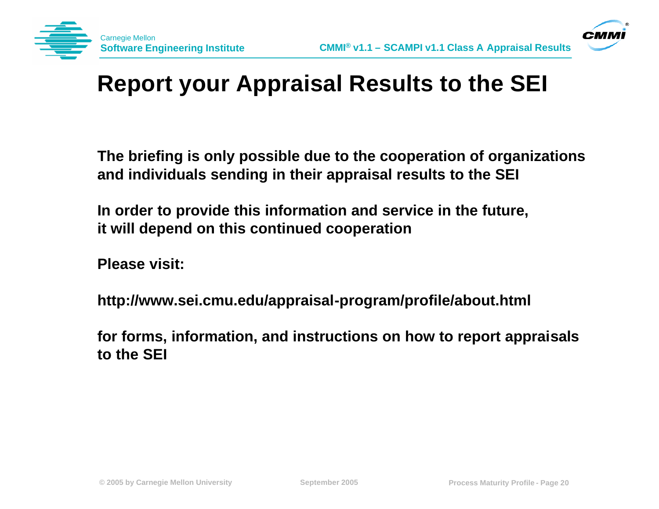



## **Report your Appraisal Results to the SEI**

**The briefing is only possible due to the cooperation of organizations and individuals sending in their appraisal results to the SEI**

**In order to provide this information and service in the future, it will depend on this continued cooperation**

**Please visit:**

**http://www.sei.cmu.edu/appraisal-program/profile/about.html**

**for forms, information, and instructions on how to report appraisals to the SEI**